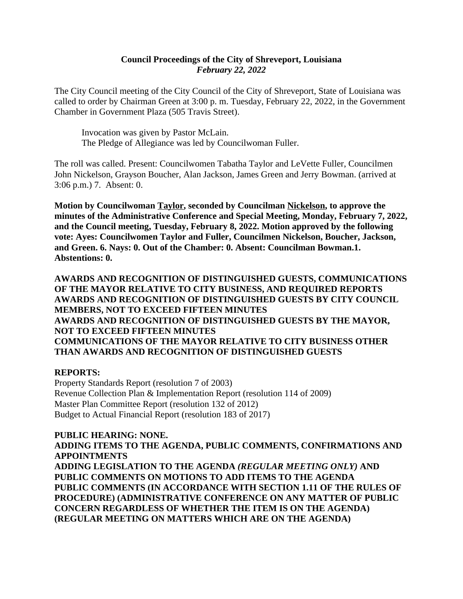### **Council Proceedings of the City of Shreveport, Louisiana** *February 22, 2022*

The City Council meeting of the City Council of the City of Shreveport, State of Louisiana was called to order by Chairman Green at 3:00 p. m. Tuesday, February 22, 2022, in the Government Chamber in Government Plaza (505 Travis Street).

Invocation was given by Pastor McLain. The Pledge of Allegiance was led by Councilwoman Fuller.

The roll was called. Present: Councilwomen Tabatha Taylor and LeVette Fuller, Councilmen John Nickelson, Grayson Boucher, Alan Jackson, James Green and Jerry Bowman. (arrived at 3:06 p.m.) 7. Absent: 0.

**Motion by Councilwoman Taylor, seconded by Councilman Nickelson, to approve the minutes of the Administrative Conference and Special Meeting, Monday, February 7, 2022, and the Council meeting, Tuesday, February 8, 2022. Motion approved by the following vote: Ayes: Councilwomen Taylor and Fuller, Councilmen Nickelson, Boucher, Jackson, and Green. 6. Nays: 0. Out of the Chamber: 0. Absent: Councilman Bowman.1. Abstentions: 0.**

**AWARDS AND RECOGNITION OF DISTINGUISHED GUESTS, COMMUNICATIONS OF THE MAYOR RELATIVE TO CITY BUSINESS, AND REQUIRED REPORTS AWARDS AND RECOGNITION OF DISTINGUISHED GUESTS BY CITY COUNCIL MEMBERS, NOT TO EXCEED FIFTEEN MINUTES AWARDS AND RECOGNITION OF DISTINGUISHED GUESTS BY THE MAYOR, NOT TO EXCEED FIFTEEN MINUTES COMMUNICATIONS OF THE MAYOR RELATIVE TO CITY BUSINESS OTHER THAN AWARDS AND RECOGNITION OF DISTINGUISHED GUESTS**

### **REPORTS:**

Property Standards Report (resolution 7 of 2003) Revenue Collection Plan & Implementation Report (resolution 114 of 2009) Master Plan Committee Report (resolution 132 of 2012) Budget to Actual Financial Report (resolution 183 of 2017)

### **PUBLIC HEARING: NONE.**

**ADDING ITEMS TO THE AGENDA, PUBLIC COMMENTS, CONFIRMATIONS AND APPOINTMENTS**

**ADDING LEGISLATION TO THE AGENDA** *(REGULAR MEETING ONLY)* **AND PUBLIC COMMENTS ON MOTIONS TO ADD ITEMS TO THE AGENDA PUBLIC COMMENTS (IN ACCORDANCE WITH SECTION 1.11 OF THE RULES OF PROCEDURE) (ADMINISTRATIVE CONFERENCE ON ANY MATTER OF PUBLIC CONCERN REGARDLESS OF WHETHER THE ITEM IS ON THE AGENDA) (REGULAR MEETING ON MATTERS WHICH ARE ON THE AGENDA)**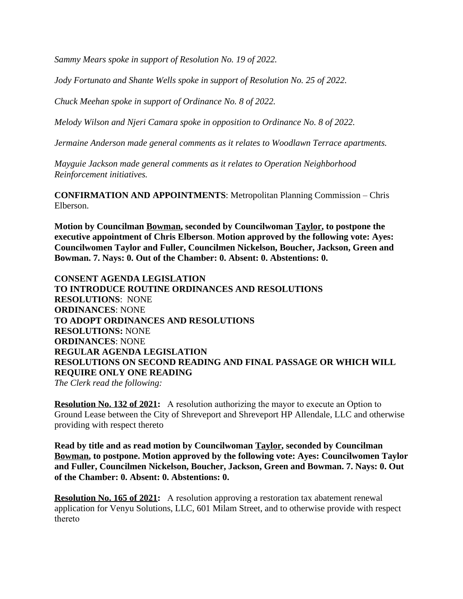*Sammy Mears spoke in support of Resolution No. 19 of 2022.*

*Jody Fortunato and Shante Wells spoke in support of Resolution No. 25 of 2022.*

*Chuck Meehan spoke in support of Ordinance No. 8 of 2022.*

*Melody Wilson and Njeri Camara spoke in opposition to Ordinance No. 8 of 2022.*

*Jermaine Anderson made general comments as it relates to Woodlawn Terrace apartments.*

*Mayguie Jackson made general comments as it relates to Operation Neighborhood Reinforcement initiatives.*

**CONFIRMATION AND APPOINTMENTS**: Metropolitan Planning Commission – Chris Elberson.

**Motion by Councilman Bowman, seconded by Councilwoman Taylor, to postpone the executive appointment of Chris Elberson**. **Motion approved by the following vote: Ayes: Councilwomen Taylor and Fuller, Councilmen Nickelson, Boucher, Jackson, Green and Bowman. 7. Nays: 0. Out of the Chamber: 0. Absent: 0. Abstentions: 0.**

**CONSENT AGENDA LEGISLATION TO INTRODUCE ROUTINE ORDINANCES AND RESOLUTIONS RESOLUTIONS**: NONE **ORDINANCES**: NONE **TO ADOPT ORDINANCES AND RESOLUTIONS RESOLUTIONS:** NONE **ORDINANCES**: NONE **REGULAR AGENDA LEGISLATION RESOLUTIONS ON SECOND READING AND FINAL PASSAGE OR WHICH WILL REQUIRE ONLY ONE READING** *The Clerk read the following:* 

**Resolution No. 132 of 2021:** A resolution authorizing the mayor to execute an Option to Ground Lease between the City of Shreveport and Shreveport HP Allendale, LLC and otherwise providing with respect thereto

**Read by title and as read motion by Councilwoman Taylor, seconded by Councilman Bowman, to postpone. Motion approved by the following vote: Ayes: Councilwomen Taylor and Fuller, Councilmen Nickelson, Boucher, Jackson, Green and Bowman. 7. Nays: 0. Out of the Chamber: 0. Absent: 0. Abstentions: 0.**

**Resolution No. 165 of 2021:** A resolution approving a restoration tax abatement renewal application for Venyu Solutions, LLC, 601 Milam Street, and to otherwise provide with respect thereto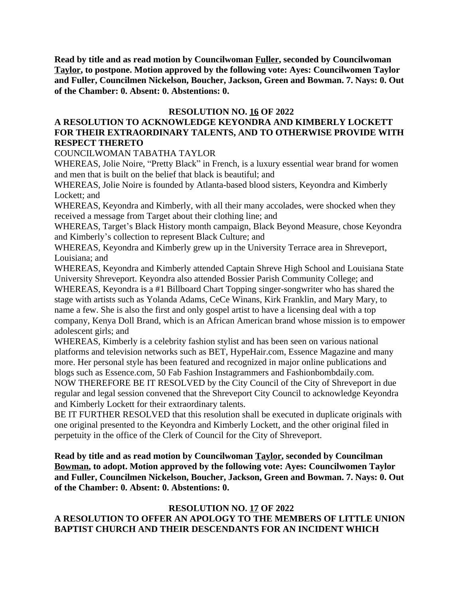**Read by title and as read motion by Councilwoman Fuller, seconded by Councilwoman Taylor, to postpone. Motion approved by the following vote: Ayes: Councilwomen Taylor and Fuller, Councilmen Nickelson, Boucher, Jackson, Green and Bowman. 7. Nays: 0. Out of the Chamber: 0. Absent: 0. Abstentions: 0.**

### **RESOLUTION NO. 16 OF 2022**

### **A RESOLUTION TO ACKNOWLEDGE KEYONDRA AND KIMBERLY LOCKETT FOR THEIR EXTRAORDINARY TALENTS, AND TO OTHERWISE PROVIDE WITH RESPECT THERETO**

COUNCILWOMAN TABATHA TAYLOR

WHEREAS, Jolie Noire, "Pretty Black" in French, is a luxury essential wear brand for women and men that is built on the belief that black is beautiful; and

WHEREAS, Jolie Noire is founded by Atlanta-based blood sisters, Keyondra and Kimberly Lockett; and

WHEREAS, Keyondra and Kimberly, with all their many accolades, were shocked when they received a message from Target about their clothing line; and

WHEREAS, Target's Black History month campaign, Black Beyond Measure, chose Keyondra and Kimberly's collection to represent Black Culture; and

WHEREAS, Keyondra and Kimberly grew up in the University Terrace area in Shreveport, Louisiana; and

WHEREAS, Keyondra and Kimberly attended Captain Shreve High School and Louisiana State University Shreveport. Keyondra also attended Bossier Parish Community College; and WHEREAS, Keyondra is a #1 Billboard Chart Topping singer-songwriter who has shared the stage with artists such as Yolanda Adams, CeCe Winans, Kirk Franklin, and Mary Mary, to name a few. She is also the first and only gospel artist to have a licensing deal with a top company, Kenya Doll Brand, which is an African American brand whose mission is to empower

adolescent girls; and

WHEREAS, Kimberly is a celebrity fashion stylist and has been seen on various national platforms and television networks such as BET, HypeHair.com, Essence Magazine and many more. Her personal style has been featured and recognized in major online publications and blogs such as Essence.com, 50 Fab Fashion Instagrammers and Fashionbombdaily.com.

NOW THEREFORE BE IT RESOLVED by the City Council of the City of Shreveport in due regular and legal session convened that the Shreveport City Council to acknowledge Keyondra and Kimberly Lockett for their extraordinary talents.

BE IT FURTHER RESOLVED that this resolution shall be executed in duplicate originals with one original presented to the Keyondra and Kimberly Lockett, and the other original filed in perpetuity in the office of the Clerk of Council for the City of Shreveport.

**Read by title and as read motion by Councilwoman Taylor, seconded by Councilman Bowman, to adopt. Motion approved by the following vote: Ayes: Councilwomen Taylor and Fuller, Councilmen Nickelson, Boucher, Jackson, Green and Bowman. 7. Nays: 0. Out of the Chamber: 0. Absent: 0. Abstentions: 0.**

### **RESOLUTION NO. 17 OF 2022 A RESOLUTION TO OFFER AN APOLOGY TO THE MEMBERS OF LITTLE UNION BAPTIST CHURCH AND THEIR DESCENDANTS FOR AN INCIDENT WHICH**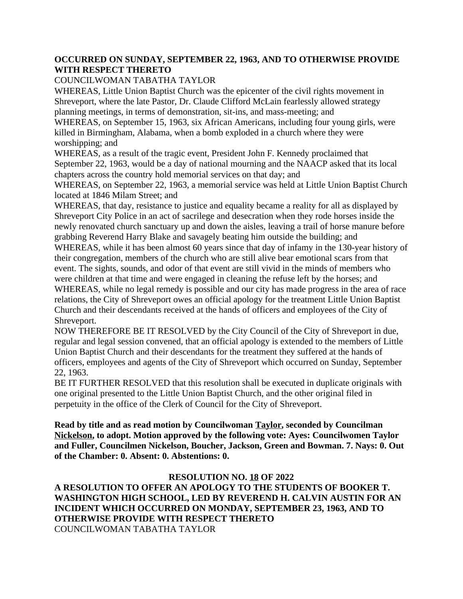### **OCCURRED ON SUNDAY, SEPTEMBER 22, 1963, AND TO OTHERWISE PROVIDE WITH RESPECT THERETO**

#### COUNCILWOMAN TABATHA TAYLOR

WHEREAS, Little Union Baptist Church was the epicenter of the civil rights movement in Shreveport, where the late Pastor, Dr. Claude Clifford McLain fearlessly allowed strategy planning meetings, in terms of demonstration, sit-ins, and mass-meeting; and

WHEREAS, on September 15, 1963, six African Americans, including four young girls, were killed in Birmingham, Alabama, when a bomb exploded in a church where they were worshipping; and

WHEREAS, as a result of the tragic event, President John F. Kennedy proclaimed that September 22, 1963, would be a day of national mourning and the NAACP asked that its local chapters across the country hold memorial services on that day; and

WHEREAS, on September 22, 1963, a memorial service was held at Little Union Baptist Church located at 1846 Milam Street; and

WHEREAS, that day, resistance to justice and equality became a reality for all as displayed by Shreveport City Police in an act of sacrilege and desecration when they rode horses inside the newly renovated church sanctuary up and down the aisles, leaving a trail of horse manure before grabbing Reverend Harry Blake and savagely beating him outside the building; and

WHEREAS, while it has been almost 60 years since that day of infamy in the 130-year history of their congregation, members of the church who are still alive bear emotional scars from that event. The sights, sounds, and odor of that event are still vivid in the minds of members who were children at that time and were engaged in cleaning the refuse left by the horses; and

WHEREAS, while no legal remedy is possible and our city has made progress in the area of race relations, the City of Shreveport owes an official apology for the treatment Little Union Baptist Church and their descendants received at the hands of officers and employees of the City of Shreveport.

NOW THEREFORE BE IT RESOLVED by the City Council of the City of Shreveport in due, regular and legal session convened, that an official apology is extended to the members of Little Union Baptist Church and their descendants for the treatment they suffered at the hands of officers, employees and agents of the City of Shreveport which occurred on Sunday, September 22, 1963.

BE IT FURTHER RESOLVED that this resolution shall be executed in duplicate originals with one original presented to the Little Union Baptist Church, and the other original filed in perpetuity in the office of the Clerk of Council for the City of Shreveport.

**Read by title and as read motion by Councilwoman Taylor, seconded by Councilman Nickelson, to adopt. Motion approved by the following vote: Ayes: Councilwomen Taylor and Fuller, Councilmen Nickelson, Boucher, Jackson, Green and Bowman. 7. Nays: 0. Out of the Chamber: 0. Absent: 0. Abstentions: 0.**

### **RESOLUTION NO. 18 OF 2022**

**A RESOLUTION TO OFFER AN APOLOGY TO THE STUDENTS OF BOOKER T. WASHINGTON HIGH SCHOOL, LED BY REVEREND H. CALVIN AUSTIN FOR AN INCIDENT WHICH OCCURRED ON MONDAY, SEPTEMBER 23, 1963, AND TO OTHERWISE PROVIDE WITH RESPECT THERETO** COUNCILWOMAN TABATHA TAYLOR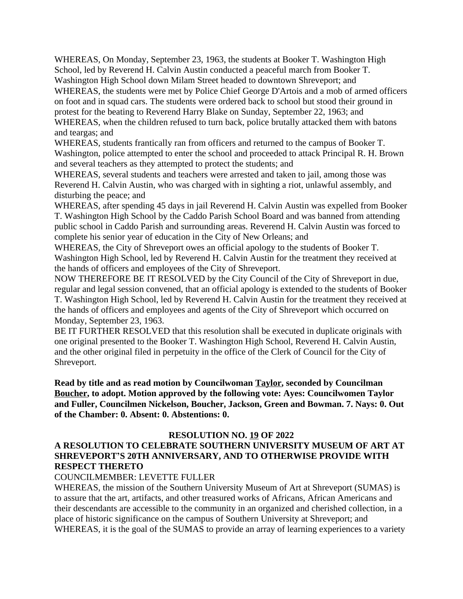WHEREAS, On Monday, September 23, 1963, the students at Booker T. Washington High School, led by Reverend H. Calvin Austin conducted a peaceful march from Booker T. Washington High School down Milam Street headed to downtown Shreveport; and

WHEREAS, the students were met by Police Chief George D'Artois and a mob of armed officers on foot and in squad cars. The students were ordered back to school but stood their ground in protest for the beating to Reverend Harry Blake on Sunday, September 22, 1963; and WHEREAS, when the children refused to turn back, police brutally attacked them with batons and teargas; and

WHEREAS, students frantically ran from officers and returned to the campus of Booker T. Washington, police attempted to enter the school and proceeded to attack Principal R. H. Brown and several teachers as they attempted to protect the students; and

WHEREAS, several students and teachers were arrested and taken to jail, among those was Reverend H. Calvin Austin, who was charged with in sighting a riot, unlawful assembly, and disturbing the peace; and

WHEREAS, after spending 45 days in jail Reverend H. Calvin Austin was expelled from Booker T. Washington High School by the Caddo Parish School Board and was banned from attending public school in Caddo Parish and surrounding areas. Reverend H. Calvin Austin was forced to complete his senior year of education in the City of New Orleans; and

WHEREAS, the City of Shreveport owes an official apology to the students of Booker T. Washington High School, led by Reverend H. Calvin Austin for the treatment they received at the hands of officers and employees of the City of Shreveport.

NOW THEREFORE BE IT RESOLVED by the City Council of the City of Shreveport in due, regular and legal session convened, that an official apology is extended to the students of Booker T. Washington High School, led by Reverend H. Calvin Austin for the treatment they received at the hands of officers and employees and agents of the City of Shreveport which occurred on Monday, September 23, 1963.

BE IT FURTHER RESOLVED that this resolution shall be executed in duplicate originals with one original presented to the Booker T. Washington High School, Reverend H. Calvin Austin, and the other original filed in perpetuity in the office of the Clerk of Council for the City of Shreveport.

**Read by title and as read motion by Councilwoman Taylor, seconded by Councilman Boucher, to adopt. Motion approved by the following vote: Ayes: Councilwomen Taylor and Fuller, Councilmen Nickelson, Boucher, Jackson, Green and Bowman. 7. Nays: 0. Out of the Chamber: 0. Absent: 0. Abstentions: 0.**

### **RESOLUTION NO. 19 OF 2022**

# **A RESOLUTION TO CELEBRATE SOUTHERN UNIVERSITY MUSEUM OF ART AT SHREVEPORT'S 20TH ANNIVERSARY, AND TO OTHERWISE PROVIDE WITH RESPECT THERETO**

### COUNCILMEMBER: LEVETTE FULLER

WHEREAS, the mission of the Southern University Museum of Art at Shreveport (SUMAS) is to assure that the art, artifacts, and other treasured works of Africans, African Americans and their descendants are accessible to the community in an organized and cherished collection, in a place of historic significance on the campus of Southern University at Shreveport; and WHEREAS, it is the goal of the SUMAS to provide an array of learning experiences to a variety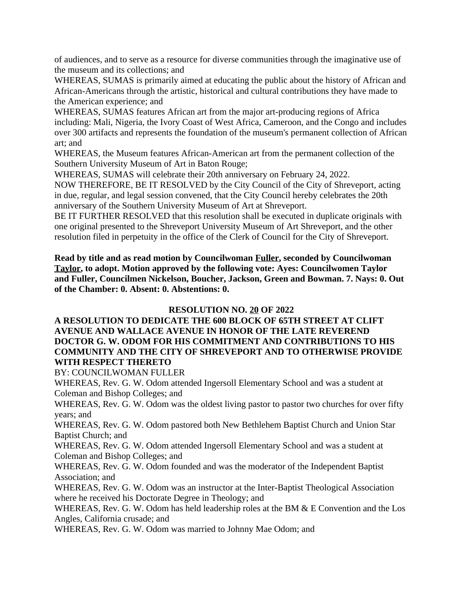of audiences, and to serve as a resource for diverse communities through the imaginative use of the museum and its collections; and

WHEREAS, SUMAS is primarily aimed at educating the public about the history of African and African-Americans through the artistic, historical and cultural contributions they have made to the American experience; and

WHEREAS, SUMAS features African art from the major art-producing regions of Africa including: Mali, Nigeria, the Ivory Coast of West Africa, Cameroon, and the Congo and includes over 300 artifacts and represents the foundation of the museum's permanent collection of African art; and

WHEREAS, the Museum features African-American art from the permanent collection of the Southern University Museum of Art in Baton Rouge;

WHEREAS, SUMAS will celebrate their 20th anniversary on February 24, 2022.

NOW THEREFORE, BE IT RESOLVED by the City Council of the City of Shreveport, acting in due, regular, and legal session convened, that the City Council hereby celebrates the 20th anniversary of the Southern University Museum of Art at Shreveport.

BE IT FURTHER RESOLVED that this resolution shall be executed in duplicate originals with one original presented to the Shreveport University Museum of Art Shreveport, and the other resolution filed in perpetuity in the office of the Clerk of Council for the City of Shreveport.

**Read by title and as read motion by Councilwoman Fuller, seconded by Councilwoman Taylor, to adopt. Motion approved by the following vote: Ayes: Councilwomen Taylor and Fuller, Councilmen Nickelson, Boucher, Jackson, Green and Bowman. 7. Nays: 0. Out of the Chamber: 0. Absent: 0. Abstentions: 0.**

### **RESOLUTION NO. 20 OF 2022**

### **A RESOLUTION TO DEDICATE THE 600 BLOCK OF 65TH STREET AT CLIFT AVENUE AND WALLACE AVENUE IN HONOR OF THE LATE REVEREND DOCTOR G. W. ODOM FOR HIS COMMITMENT AND CONTRIBUTIONS TO HIS COMMUNITY AND THE CITY OF SHREVEPORT AND TO OTHERWISE PROVIDE WITH RESPECT THERETO**

BY: COUNCILWOMAN FULLER

WHEREAS, Rev. G. W. Odom attended Ingersoll Elementary School and was a student at Coleman and Bishop Colleges; and

WHEREAS, Rev. G. W. Odom was the oldest living pastor to pastor two churches for over fifty years; and

WHEREAS, Rev. G. W. Odom pastored both New Bethlehem Baptist Church and Union Star Baptist Church; and

WHEREAS, Rev. G. W. Odom attended Ingersoll Elementary School and was a student at Coleman and Bishop Colleges; and

WHEREAS, Rev. G. W. Odom founded and was the moderator of the Independent Baptist Association; and

WHEREAS, Rev. G. W. Odom was an instructor at the Inter-Baptist Theological Association where he received his Doctorate Degree in Theology; and

WHEREAS, Rev. G. W. Odom has held leadership roles at the BM & E Convention and the Los Angles, California crusade; and

WHEREAS, Rev. G. W. Odom was married to Johnny Mae Odom; and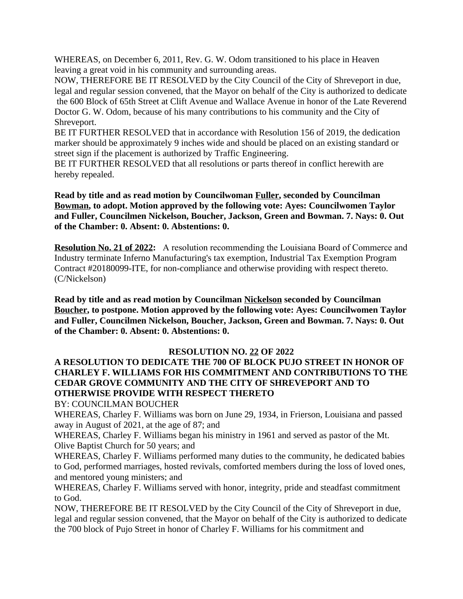WHEREAS, on December 6, 2011, Rev. G. W. Odom transitioned to his place in Heaven leaving a great void in his community and surrounding areas.

NOW, THEREFORE BE IT RESOLVED by the City Council of the City of Shreveport in due, legal and regular session convened, that the Mayor on behalf of the City is authorized to dedicate the 600 Block of 65th Street at Clift Avenue and Wallace Avenue in honor of the Late Reverend Doctor G. W. Odom, because of his many contributions to his community and the City of Shreveport.

BE IT FURTHER RESOLVED that in accordance with Resolution 156 of 2019, the dedication marker should be approximately 9 inches wide and should be placed on an existing standard or street sign if the placement is authorized by Traffic Engineering.

BE IT FURTHER RESOLVED that all resolutions or parts thereof in conflict herewith are hereby repealed.

**Read by title and as read motion by Councilwoman Fuller, seconded by Councilman Bowman, to adopt. Motion approved by the following vote: Ayes: Councilwomen Taylor and Fuller, Councilmen Nickelson, Boucher, Jackson, Green and Bowman. 7. Nays: 0. Out of the Chamber: 0. Absent: 0. Abstentions: 0.**

**Resolution No. 21 of 2022:** A resolution recommending the Louisiana Board of Commerce and Industry terminate Inferno Manufacturing's tax exemption, Industrial Tax Exemption Program Contract #20180099-ITE, for non-compliance and otherwise providing with respect thereto. (C/Nickelson)

**Read by title and as read motion by Councilman Nickelson seconded by Councilman Boucher, to postpone. Motion approved by the following vote: Ayes: Councilwomen Taylor and Fuller, Councilmen Nickelson, Boucher, Jackson, Green and Bowman. 7. Nays: 0. Out of the Chamber: 0. Absent: 0. Abstentions: 0.**

### **RESOLUTION NO. 22 OF 2022**

# **A RESOLUTION TO DEDICATE THE 700 OF BLOCK PUJO STREET IN HONOR OF CHARLEY F. WILLIAMS FOR HIS COMMITMENT AND CONTRIBUTIONS TO THE CEDAR GROVE COMMUNITY AND THE CITY OF SHREVEPORT AND TO OTHERWISE PROVIDE WITH RESPECT THERETO**

BY: COUNCILMAN BOUCHER

WHEREAS, Charley F. Williams was born on June 29, 1934, in Frierson, Louisiana and passed away in August of 2021, at the age of 87; and

WHEREAS, Charley F. Williams began his ministry in 1961 and served as pastor of the Mt. Olive Baptist Church for 50 years; and

WHEREAS, Charley F. Williams performed many duties to the community, he dedicated babies to God, performed marriages, hosted revivals, comforted members during the loss of loved ones, and mentored young ministers; and

WHEREAS, Charley F. Williams served with honor, integrity, pride and steadfast commitment to God.

NOW, THEREFORE BE IT RESOLVED by the City Council of the City of Shreveport in due, legal and regular session convened, that the Mayor on behalf of the City is authorized to dedicate the 700 block of Pujo Street in honor of Charley F. Williams for his commitment and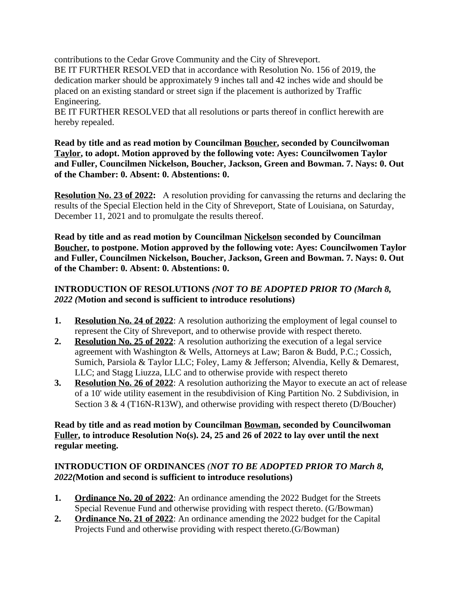contributions to the Cedar Grove Community and the City of Shreveport.

BE IT FURTHER RESOLVED that in accordance with Resolution No. 156 of 2019, the dedication marker should be approximately 9 inches tall and 42 inches wide and should be placed on an existing standard or street sign if the placement is authorized by Traffic Engineering.

BE IT FURTHER RESOLVED that all resolutions or parts thereof in conflict herewith are hereby repealed.

**Read by title and as read motion by Councilman Boucher, seconded by Councilwoman Taylor, to adopt. Motion approved by the following vote: Ayes: Councilwomen Taylor and Fuller, Councilmen Nickelson, Boucher, Jackson, Green and Bowman. 7. Nays: 0. Out of the Chamber: 0. Absent: 0. Abstentions: 0.**

**Resolution No. 23 of 2022:** A resolution providing for canvassing the returns and declaring the results of the Special Election held in the City of Shreveport, State of Louisiana, on Saturday, December 11, 2021 and to promulgate the results thereof.

**Read by title and as read motion by Councilman Nickelson seconded by Councilman Boucher, to postpone. Motion approved by the following vote: Ayes: Councilwomen Taylor and Fuller, Councilmen Nickelson, Boucher, Jackson, Green and Bowman. 7. Nays: 0. Out of the Chamber: 0. Absent: 0. Abstentions: 0.**

# **INTRODUCTION OF RESOLUTIONS** *(NOT TO BE ADOPTED PRIOR TO (March 8, 2022 (***Motion and second is sufficient to introduce resolutions)**

- **1. Resolution No. 24 of 2022**: A resolution authorizing the employment of legal counsel to represent the City of Shreveport, and to otherwise provide with respect thereto.
- **2. Resolution No. 25 of 2022**: A resolution authorizing the execution of a legal service agreement with Washington & Wells, Attorneys at Law; Baron & Budd, P.C.; Cossich, Sumich, Parsiola & Taylor LLC; Foley, Lamy & Jefferson; Alvendia, Kelly & Demarest, LLC; and Stagg Liuzza, LLC and to otherwise provide with respect thereto
- **3. Resolution No. 26 of 2022**: A resolution authorizing the Mayor to execute an act of release of a 10' wide utility easement in the resubdivision of King Partition No. 2 Subdivision, in Section 3 & 4 (T16N-R13W), and otherwise providing with respect thereto (D/Boucher)

# **Read by title and as read motion by Councilman Bowman, seconded by Councilwoman Fuller, to introduce Resolution No(s). 24, 25 and 26 of 2022 to lay over until the next regular meeting.**

# **INTRODUCTION OF ORDINANCES** *(NOT TO BE ADOPTED PRIOR TO March 8, 2022(***Motion and second is sufficient to introduce resolutions)**

- **1. Ordinance No. 20 of 2022**: An ordinance amending the 2022 Budget for the Streets Special Revenue Fund and otherwise providing with respect thereto. (G/Bowman)
- **2. Ordinance No. 21 of 2022**: An ordinance amending the 2022 budget for the Capital Projects Fund and otherwise providing with respect thereto.(G/Bowman)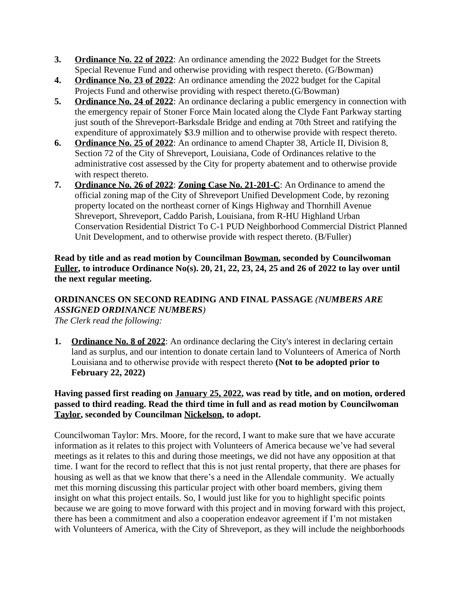- **3. Ordinance No. 22 of 2022**: An ordinance amending the 2022 Budget for the Streets Special Revenue Fund and otherwise providing with respect thereto. (G/Bowman)
- **4. Ordinance No. 23 of 2022**: An ordinance amending the 2022 budget for the Capital Projects Fund and otherwise providing with respect thereto.(G/Bowman)
- **5. Ordinance No. 24 of 2022**: An ordinance declaring a public emergency in connection with the emergency repair of Stoner Force Main located along the Clyde Fant Parkway starting just south of the Shreveport-Barksdale Bridge and ending at 70th Street and ratifying the expenditure of approximately \$3.9 million and to otherwise provide with respect thereto.
- **6. Ordinance No. 25 of 2022**: An ordinance to amend Chapter 38, Article II, Division 8, Section 72 of the City of Shreveport, Louisiana, Code of Ordinances relative to the administrative cost assessed by the City for property abatement and to otherwise provide with respect thereto.
- **7. Ordinance No. 26 of 2022**: **Zoning Case No. 21-201-C**: An Ordinance to amend the official zoning map of the City of Shreveport Unified Development Code, by rezoning property located on the northeast corner of Kings Highway and Thornhill Avenue Shreveport, Shreveport, Caddo Parish, Louisiana, from R-HU Highland Urban Conservation Residential District To C-1 PUD Neighborhood Commercial District Planned Unit Development, and to otherwise provide with respect thereto. (B/Fuller)

**Read by title and as read motion by Councilman Bowman, seconded by Councilwoman Fuller, to introduce Ordinance No(s). 20, 21, 22, 23, 24, 25 and 26 of 2022 to lay over until the next regular meeting.**

# **ORDINANCES ON SECOND READING AND FINAL PASSAGE** *(NUMBERS ARE ASSIGNED ORDINANCE NUMBERS)*

- *The Clerk read the following:*
- **1. Ordinance No. 8 of 2022**: An ordinance declaring the City's interest in declaring certain land as surplus, and our intention to donate certain land to Volunteers of America of North Louisiana and to otherwise provide with respect thereto **(Not to be adopted prior to February 22, 2022)**

# **Having passed first reading on January 25, 2022, was read by title, and on motion, ordered passed to third reading. Read the third time in full and as read motion by Councilwoman Taylor, seconded by Councilman Nickelson, to adopt.**

Councilwoman Taylor: Mrs. Moore, for the record, I want to make sure that we have accurate information as it relates to this project with Volunteers of America because we've had several meetings as it relates to this and during those meetings, we did not have any opposition at that time. I want for the record to reflect that this is not just rental property, that there are phases for housing as well as that we know that there's a need in the Allendale community. We actually met this morning discussing this particular project with other board members, giving them insight on what this project entails. So, I would just like for you to highlight specific points because we are going to move forward with this project and in moving forward with this project, there has been a commitment and also a cooperation endeavor agreement if I'm not mistaken with Volunteers of America, with the City of Shreveport, as they will include the neighborhoods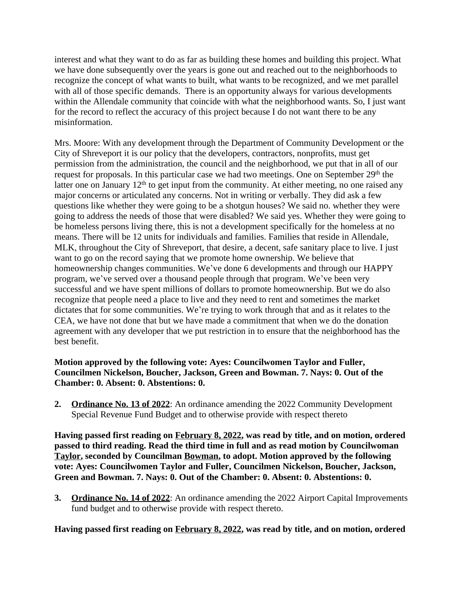interest and what they want to do as far as building these homes and building this project. What we have done subsequently over the years is gone out and reached out to the neighborhoods to recognize the concept of what wants to built, what wants to be recognized, and we met parallel with all of those specific demands. There is an opportunity always for various developments within the Allendale community that coincide with what the neighborhood wants. So, I just want for the record to reflect the accuracy of this project because I do not want there to be any misinformation.

Mrs. Moore: With any development through the Department of Community Development or the City of Shreveport it is our policy that the developers, contractors, nonprofits, must get permission from the administration, the council and the neighborhood, we put that in all of our request for proposals. In this particular case we had two meetings. One on September 29<sup>th</sup> the latter one on January  $12<sup>th</sup>$  to get input from the community. At either meeting, no one raised any major concerns or articulated any concerns. Not in writing or verbally. They did ask a few questions like whether they were going to be a shotgun houses? We said no. whether they were going to address the needs of those that were disabled? We said yes. Whether they were going to be homeless persons living there, this is not a development specifically for the homeless at no means. There will be 12 units for individuals and families. Families that reside in Allendale, MLK, throughout the City of Shreveport, that desire, a decent, safe sanitary place to live. I just want to go on the record saying that we promote home ownership. We believe that homeownership changes communities. We've done 6 developments and through our HAPPY program, we've served over a thousand people through that program. We've been very successful and we have spent millions of dollars to promote homeownership. But we do also recognize that people need a place to live and they need to rent and sometimes the market dictates that for some communities. We're trying to work through that and as it relates to the CEA, we have not done that but we have made a commitment that when we do the donation agreement with any developer that we put restriction in to ensure that the neighborhood has the best benefit.

### **Motion approved by the following vote: Ayes: Councilwomen Taylor and Fuller, Councilmen Nickelson, Boucher, Jackson, Green and Bowman. 7. Nays: 0. Out of the Chamber: 0. Absent: 0. Abstentions: 0.**

**2. Ordinance No. 13 of 2022**: An ordinance amending the 2022 Community Development Special Revenue Fund Budget and to otherwise provide with respect thereto

**Having passed first reading on February 8, 2022, was read by title, and on motion, ordered passed to third reading. Read the third time in full and as read motion by Councilwoman Taylor, seconded by Councilman Bowman, to adopt. Motion approved by the following vote: Ayes: Councilwomen Taylor and Fuller, Councilmen Nickelson, Boucher, Jackson, Green and Bowman. 7. Nays: 0. Out of the Chamber: 0. Absent: 0. Abstentions: 0.**

**3. Ordinance No. 14 of 2022**: An ordinance amending the 2022 Airport Capital Improvements fund budget and to otherwise provide with respect thereto.

**Having passed first reading on February 8, 2022, was read by title, and on motion, ordered**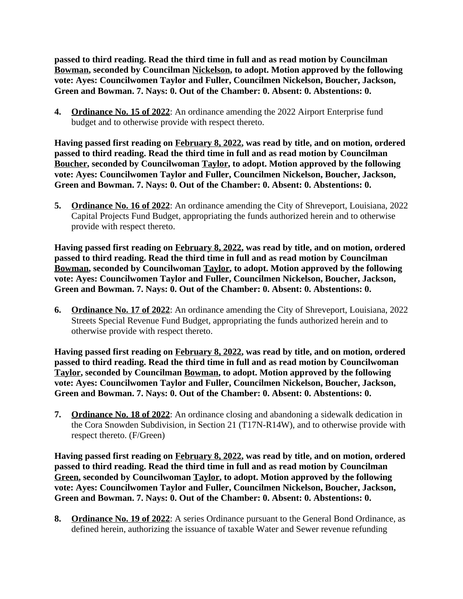**passed to third reading. Read the third time in full and as read motion by Councilman Bowman, seconded by Councilman Nickelson, to adopt. Motion approved by the following vote: Ayes: Councilwomen Taylor and Fuller, Councilmen Nickelson, Boucher, Jackson, Green and Bowman. 7. Nays: 0. Out of the Chamber: 0. Absent: 0. Abstentions: 0.**

**4. Ordinance No. 15 of 2022**: An ordinance amending the 2022 Airport Enterprise fund budget and to otherwise provide with respect thereto.

**Having passed first reading on February 8, 2022, was read by title, and on motion, ordered passed to third reading. Read the third time in full and as read motion by Councilman Boucher, seconded by Councilwoman Taylor, to adopt. Motion approved by the following vote: Ayes: Councilwomen Taylor and Fuller, Councilmen Nickelson, Boucher, Jackson, Green and Bowman. 7. Nays: 0. Out of the Chamber: 0. Absent: 0. Abstentions: 0.**

**5. Ordinance No. 16 of 2022**: An ordinance amending the City of Shreveport, Louisiana, 2022 Capital Projects Fund Budget, appropriating the funds authorized herein and to otherwise provide with respect thereto.

**Having passed first reading on February 8, 2022, was read by title, and on motion, ordered passed to third reading. Read the third time in full and as read motion by Councilman Bowman, seconded by Councilwoman Taylor, to adopt. Motion approved by the following vote: Ayes: Councilwomen Taylor and Fuller, Councilmen Nickelson, Boucher, Jackson, Green and Bowman. 7. Nays: 0. Out of the Chamber: 0. Absent: 0. Abstentions: 0.**

**6. Ordinance No. 17 of 2022**: An ordinance amending the City of Shreveport, Louisiana, 2022 Streets Special Revenue Fund Budget, appropriating the funds authorized herein and to otherwise provide with respect thereto.

**Having passed first reading on February 8, 2022, was read by title, and on motion, ordered passed to third reading. Read the third time in full and as read motion by Councilwoman Taylor, seconded by Councilman Bowman, to adopt. Motion approved by the following vote: Ayes: Councilwomen Taylor and Fuller, Councilmen Nickelson, Boucher, Jackson, Green and Bowman. 7. Nays: 0. Out of the Chamber: 0. Absent: 0. Abstentions: 0.**

**7. Ordinance No. 18 of 2022**: An ordinance closing and abandoning a sidewalk dedication in the Cora Snowden Subdivision, in Section 21 (T17N-R14W), and to otherwise provide with respect thereto. (F/Green)

**Having passed first reading on February 8, 2022, was read by title, and on motion, ordered passed to third reading. Read the third time in full and as read motion by Councilman Green, seconded by Councilwoman Taylor, to adopt. Motion approved by the following vote: Ayes: Councilwomen Taylor and Fuller, Councilmen Nickelson, Boucher, Jackson, Green and Bowman. 7. Nays: 0. Out of the Chamber: 0. Absent: 0. Abstentions: 0.**

**8. Ordinance No. 19 of 2022**: A series Ordinance pursuant to the General Bond Ordinance, as defined herein, authorizing the issuance of taxable Water and Sewer revenue refunding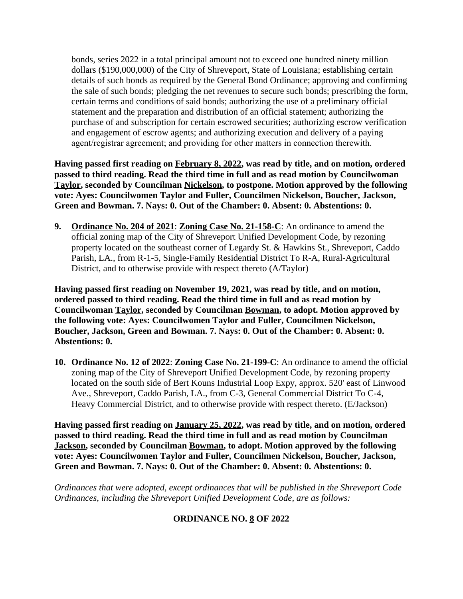bonds, series 2022 in a total principal amount not to exceed one hundred ninety million dollars (\$190,000,000) of the City of Shreveport, State of Louisiana; establishing certain details of such bonds as required by the General Bond Ordinance; approving and confirming the sale of such bonds; pledging the net revenues to secure such bonds; prescribing the form, certain terms and conditions of said bonds; authorizing the use of a preliminary official statement and the preparation and distribution of an official statement; authorizing the purchase of and subscription for certain escrowed securities; authorizing escrow verification and engagement of escrow agents; and authorizing execution and delivery of a paying agent/registrar agreement; and providing for other matters in connection therewith.

**Having passed first reading on February 8, 2022, was read by title, and on motion, ordered passed to third reading. Read the third time in full and as read motion by Councilwoman Taylor, seconded by Councilman Nickelson, to postpone. Motion approved by the following vote: Ayes: Councilwomen Taylor and Fuller, Councilmen Nickelson, Boucher, Jackson, Green and Bowman. 7. Nays: 0. Out of the Chamber: 0. Absent: 0. Abstentions: 0.**

**9. Ordinance No. 204 of 2021**: **Zoning Case No. 21-158-C**: An ordinance to amend the official zoning map of the City of Shreveport Unified Development Code, by rezoning property located on the southeast corner of Legardy St. & Hawkins St., Shreveport, Caddo Parish, LA., from R-1-5, Single-Family Residential District To R-A, Rural-Agricultural District, and to otherwise provide with respect thereto (A/Taylor)

**Having passed first reading on November 19, 2021, was read by title, and on motion, ordered passed to third reading. Read the third time in full and as read motion by Councilwoman Taylor, seconded by Councilman Bowman, to adopt. Motion approved by the following vote: Ayes: Councilwomen Taylor and Fuller, Councilmen Nickelson, Boucher, Jackson, Green and Bowman. 7. Nays: 0. Out of the Chamber: 0. Absent: 0. Abstentions: 0.**

**10. Ordinance No. 12 of 2022**: **Zoning Case No. 21-199-C**: An ordinance to amend the official zoning map of the City of Shreveport Unified Development Code, by rezoning property located on the south side of Bert Kouns Industrial Loop Expy, approx. 520' east of Linwood Ave., Shreveport, Caddo Parish, LA., from C-3, General Commercial District To C-4, Heavy Commercial District, and to otherwise provide with respect thereto. (E/Jackson)

**Having passed first reading on January 25, 2022, was read by title, and on motion, ordered passed to third reading. Read the third time in full and as read motion by Councilman Jackson, seconded by Councilman Bowman, to adopt. Motion approved by the following vote: Ayes: Councilwomen Taylor and Fuller, Councilmen Nickelson, Boucher, Jackson, Green and Bowman. 7. Nays: 0. Out of the Chamber: 0. Absent: 0. Abstentions: 0.**

*Ordinances that were adopted, except ordinances that will be published in the Shreveport Code Ordinances, including the Shreveport Unified Development Code, are as follows:*

# **ORDINANCE NO. 8 OF 2022**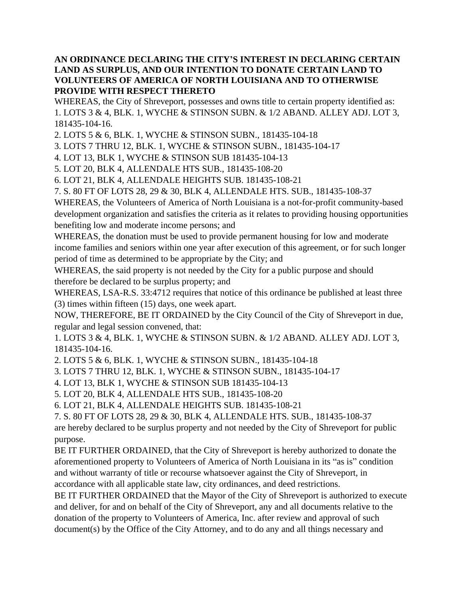### **AN ORDINANCE DECLARING THE CITY'S INTEREST IN DECLARING CERTAIN LAND AS SURPLUS, AND OUR INTENTION TO DONATE CERTAIN LAND TO VOLUNTEERS OF AMERICA OF NORTH LOUISIANA AND TO OTHERWISE PROVIDE WITH RESPECT THERETO**

WHEREAS, the City of Shreveport, possesses and owns title to certain property identified as: 1. LOTS 3 & 4, BLK. 1, WYCHE & STINSON SUBN. & 1/2 ABAND. ALLEY ADJ. LOT 3, 181435-104-16.

2. LOTS 5 & 6, BLK. 1, WYCHE & STINSON SUBN., 181435-104-18

3. LOTS 7 THRU 12, BLK. 1, WYCHE & STINSON SUBN., 181435-104-17

4. LOT 13, BLK 1, WYCHE & STINSON SUB 181435-104-13

5. LOT 20, BLK 4, ALLENDALE HTS SUB., 181435-108-20

6. LOT 21, BLK 4, ALLENDALE HEIGHTS SUB. 181435-108-21

7. S. 80 FT OF LOTS 28, 29 & 30, BLK 4, ALLENDALE HTS. SUB., 181435-108-37

WHEREAS, the Volunteers of America of North Louisiana is a not-for-profit community-based development organization and satisfies the criteria as it relates to providing housing opportunities benefiting low and moderate income persons; and

WHEREAS, the donation must be used to provide permanent housing for low and moderate income families and seniors within one year after execution of this agreement, or for such longer period of time as determined to be appropriate by the City; and

WHEREAS, the said property is not needed by the City for a public purpose and should therefore be declared to be surplus property; and

WHEREAS, LSA-R.S. 33:4712 requires that notice of this ordinance be published at least three (3) times within fifteen (15) days, one week apart.

NOW, THEREFORE, BE IT ORDAINED by the City Council of the City of Shreveport in due, regular and legal session convened, that:

1. LOTS 3 & 4, BLK. 1, WYCHE & STINSON SUBN. & 1/2 ABAND. ALLEY ADJ. LOT 3, 181435-104-16.

2. LOTS 5 & 6, BLK. 1, WYCHE & STINSON SUBN., 181435-104-18

3. LOTS 7 THRU 12, BLK. 1, WYCHE & STINSON SUBN., 181435-104-17

4. LOT 13, BLK 1, WYCHE & STINSON SUB 181435-104-13

5. LOT 20, BLK 4, ALLENDALE HTS SUB., 181435-108-20

6. LOT 21, BLK 4, ALLENDALE HEIGHTS SUB. 181435-108-21

7. S. 80 FT OF LOTS 28, 29 & 30, BLK 4, ALLENDALE HTS. SUB., 181435-108-37

are hereby declared to be surplus property and not needed by the City of Shreveport for public purpose.

BE IT FURTHER ORDAINED, that the City of Shreveport is hereby authorized to donate the aforementioned property to Volunteers of America of North Louisiana in its "as is" condition and without warranty of title or recourse whatsoever against the City of Shreveport, in accordance with all applicable state law, city ordinances, and deed restrictions.

BE IT FURTHER ORDAINED that the Mayor of the City of Shreveport is authorized to execute and deliver, for and on behalf of the City of Shreveport, any and all documents relative to the donation of the property to Volunteers of America, Inc. after review and approval of such document(s) by the Office of the City Attorney, and to do any and all things necessary and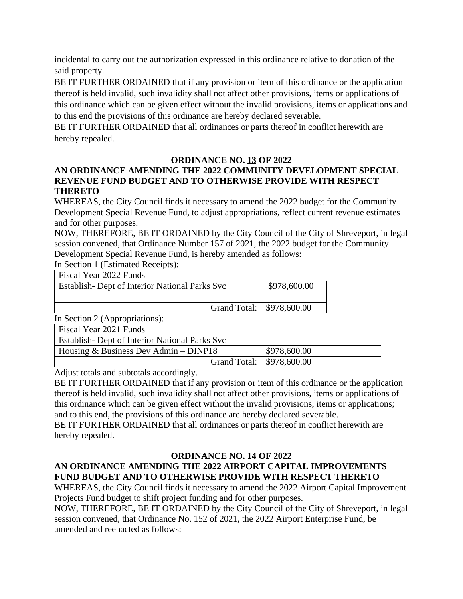incidental to carry out the authorization expressed in this ordinance relative to donation of the said property.

BE IT FURTHER ORDAINED that if any provision or item of this ordinance or the application thereof is held invalid, such invalidity shall not affect other provisions, items or applications of this ordinance which can be given effect without the invalid provisions, items or applications and to this end the provisions of this ordinance are hereby declared severable.

BE IT FURTHER ORDAINED that all ordinances or parts thereof in conflict herewith are hereby repealed.

# **ORDINANCE NO. 13 OF 2022**

# **AN ORDINANCE AMENDING THE 2022 COMMUNITY DEVELOPMENT SPECIAL REVENUE FUND BUDGET AND TO OTHERWISE PROVIDE WITH RESPECT THERETO**

WHEREAS, the City Council finds it necessary to amend the 2022 budget for the Community Development Special Revenue Fund, to adjust appropriations, reflect current revenue estimates and for other purposes.

NOW, THEREFORE, BE IT ORDAINED by the City Council of the City of Shreveport, in legal session convened, that Ordinance Number 157 of 2021, the 2022 budget for the Community Development Special Revenue Fund, is hereby amended as follows:

In Section 1 (Estimated Receipts):

| Fiscal Year 2022 Funds                          |              |
|-------------------------------------------------|--------------|
| Establish - Dept of Interior National Parks Svc | \$978,600.00 |
|                                                 |              |
| Grand Total:   \$978,600.00                     |              |

In Section  $2$  (Appropriations):

| $\mu$ because $\mu$ repropriations).            |              |
|-------------------------------------------------|--------------|
| Fiscal Year 2021 Funds                          |              |
| Establish - Dept of Interior National Parks Svc |              |
| Housing $&$ Business Dev Admin – DINP18         | \$978,600.00 |
| Grand Total: \, \\$978,600.00                   |              |

Adjust totals and subtotals accordingly.

BE IT FURTHER ORDAINED that if any provision or item of this ordinance or the application thereof is held invalid, such invalidity shall not affect other provisions, items or applications of this ordinance which can be given effect without the invalid provisions, items or applications; and to this end, the provisions of this ordinance are hereby declared severable.

BE IT FURTHER ORDAINED that all ordinances or parts thereof in conflict herewith are hereby repealed.

# **ORDINANCE NO. 14 OF 2022**

# **AN ORDINANCE AMENDING THE 2022 AIRPORT CAPITAL IMPROVEMENTS FUND BUDGET AND TO OTHERWISE PROVIDE WITH RESPECT THERETO**

WHEREAS, the City Council finds it necessary to amend the 2022 Airport Capital Improvement Projects Fund budget to shift project funding and for other purposes.

NOW, THEREFORE, BE IT ORDAINED by the City Council of the City of Shreveport, in legal session convened, that Ordinance No. 152 of 2021, the 2022 Airport Enterprise Fund, be amended and reenacted as follows: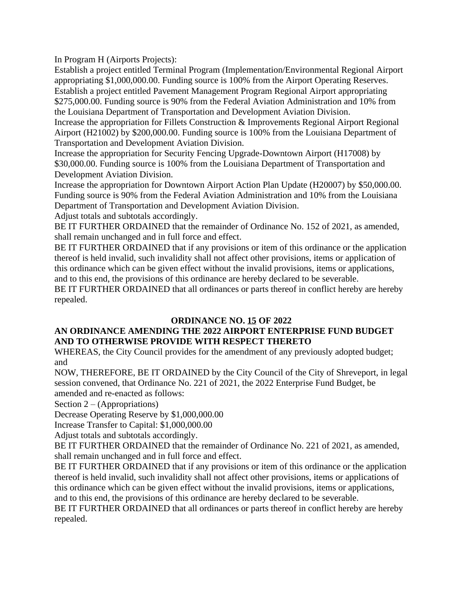In Program H (Airports Projects):

Establish a project entitled Terminal Program (Implementation/Environmental Regional Airport appropriating \$1,000,000.00. Funding source is 100% from the Airport Operating Reserves. Establish a project entitled Pavement Management Program Regional Airport appropriating \$275,000.00. Funding source is 90% from the Federal Aviation Administration and 10% from the Louisiana Department of Transportation and Development Aviation Division.

Increase the appropriation for Fillets Construction & Improvements Regional Airport Regional Airport (H21002) by \$200,000.00. Funding source is 100% from the Louisiana Department of Transportation and Development Aviation Division.

Increase the appropriation for Security Fencing Upgrade-Downtown Airport (H17008) by \$30,000.00. Funding source is 100% from the Louisiana Department of Transportation and Development Aviation Division.

Increase the appropriation for Downtown Airport Action Plan Update (H20007) by \$50,000.00. Funding source is 90% from the Federal Aviation Administration and 10% from the Louisiana Department of Transportation and Development Aviation Division.

Adjust totals and subtotals accordingly.

BE IT FURTHER ORDAINED that the remainder of Ordinance No. 152 of 2021, as amended, shall remain unchanged and in full force and effect.

BE IT FURTHER ORDAINED that if any provisions or item of this ordinance or the application thereof is held invalid, such invalidity shall not affect other provisions, items or application of this ordinance which can be given effect without the invalid provisions, items or applications, and to this end, the provisions of this ordinance are hereby declared to be severable. BE IT FURTHER ORDAINED that all ordinances or parts thereof in conflict hereby are hereby repealed.

### **ORDINANCE NO. 15 OF 2022**

# **AN ORDINANCE AMENDING THE 2022 AIRPORT ENTERPRISE FUND BUDGET AND TO OTHERWISE PROVIDE WITH RESPECT THERETO**

WHEREAS, the City Council provides for the amendment of any previously adopted budget; and

NOW, THEREFORE, BE IT ORDAINED by the City Council of the City of Shreveport, in legal session convened, that Ordinance No. 221 of 2021, the 2022 Enterprise Fund Budget, be amended and re-enacted as follows:

Section 2 – (Appropriations)

Decrease Operating Reserve by \$1,000,000.00

Increase Transfer to Capital: \$1,000,000.00

Adjust totals and subtotals accordingly.

BE IT FURTHER ORDAINED that the remainder of Ordinance No. 221 of 2021, as amended, shall remain unchanged and in full force and effect.

BE IT FURTHER ORDAINED that if any provisions or item of this ordinance or the application thereof is held invalid, such invalidity shall not affect other provisions, items or applications of this ordinance which can be given effect without the invalid provisions, items or applications, and to this end, the provisions of this ordinance are hereby declared to be severable.

BE IT FURTHER ORDAINED that all ordinances or parts thereof in conflict hereby are hereby repealed.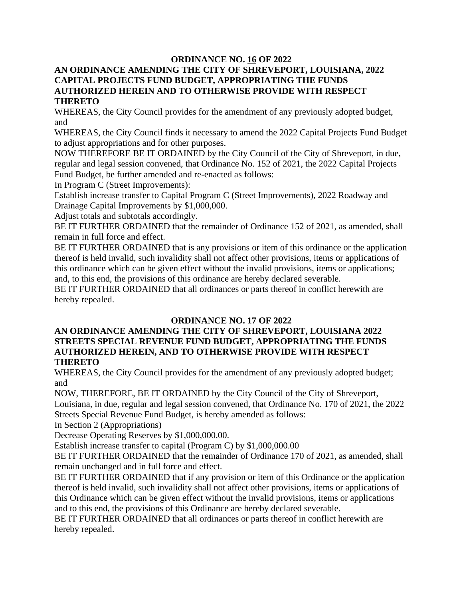### **ORDINANCE NO. 16 OF 2022**

#### **AN ORDINANCE AMENDING THE CITY OF SHREVEPORT, LOUISIANA, 2022 CAPITAL PROJECTS FUND BUDGET, APPROPRIATING THE FUNDS AUTHORIZED HEREIN AND TO OTHERWISE PROVIDE WITH RESPECT THERETO**

WHEREAS, the City Council provides for the amendment of any previously adopted budget, and

WHEREAS, the City Council finds it necessary to amend the 2022 Capital Projects Fund Budget to adjust appropriations and for other purposes.

NOW THEREFORE BE IT ORDAINED by the City Council of the City of Shreveport, in due, regular and legal session convened, that Ordinance No. 152 of 2021, the 2022 Capital Projects Fund Budget, be further amended and re-enacted as follows:

In Program C (Street Improvements):

Establish increase transfer to Capital Program C (Street Improvements), 2022 Roadway and Drainage Capital Improvements by \$1,000,000.

Adjust totals and subtotals accordingly.

BE IT FURTHER ORDAINED that the remainder of Ordinance 152 of 2021, as amended, shall remain in full force and effect.

BE IT FURTHER ORDAINED that is any provisions or item of this ordinance or the application thereof is held invalid, such invalidity shall not affect other provisions, items or applications of this ordinance which can be given effect without the invalid provisions, items or applications; and, to this end, the provisions of this ordinance are hereby declared severable.

BE IT FURTHER ORDAINED that all ordinances or parts thereof in conflict herewith are hereby repealed.

### **ORDINANCE NO. 17 OF 2022**

### **AN ORDINANCE AMENDING THE CITY OF SHREVEPORT, LOUISIANA 2022 STREETS SPECIAL REVENUE FUND BUDGET, APPROPRIATING THE FUNDS AUTHORIZED HEREIN, AND TO OTHERWISE PROVIDE WITH RESPECT THERETO**

WHEREAS, the City Council provides for the amendment of any previously adopted budget; and

NOW, THEREFORE, BE IT ORDAINED by the City Council of the City of Shreveport, Louisiana, in due, regular and legal session convened, that Ordinance No. 170 of 2021, the 2022 Streets Special Revenue Fund Budget, is hereby amended as follows:

In Section 2 (Appropriations)

Decrease Operating Reserves by \$1,000,000.00.

Establish increase transfer to capital (Program C) by \$1,000,000.00

BE IT FURTHER ORDAINED that the remainder of Ordinance 170 of 2021, as amended, shall remain unchanged and in full force and effect.

BE IT FURTHER ORDAINED that if any provision or item of this Ordinance or the application thereof is held invalid, such invalidity shall not affect other provisions, items or applications of this Ordinance which can be given effect without the invalid provisions, items or applications and to this end, the provisions of this Ordinance are hereby declared severable.

BE IT FURTHER ORDAINED that all ordinances or parts thereof in conflict herewith are hereby repealed.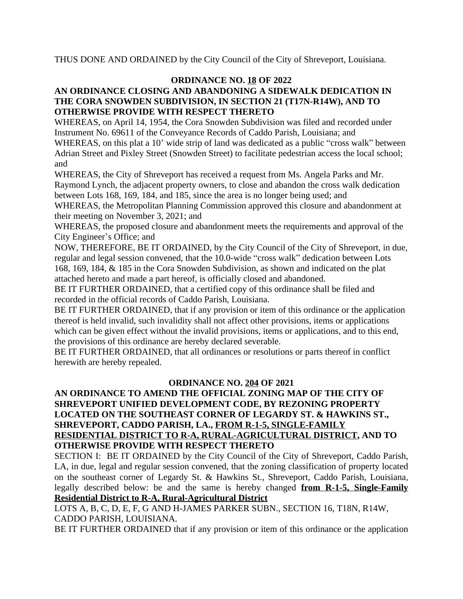THUS DONE AND ORDAINED by the City Council of the City of Shreveport, Louisiana.

### **ORDINANCE NO. 18 OF 2022**

### **AN ORDINANCE CLOSING AND ABANDONING A SIDEWALK DEDICATION IN THE CORA SNOWDEN SUBDIVISION, IN SECTION 21 (T17N-R14W), AND TO OTHERWISE PROVIDE WITH RESPECT THERETO**

WHEREAS, on April 14, 1954, the Cora Snowden Subdivision was filed and recorded under Instrument No. 69611 of the Conveyance Records of Caddo Parish, Louisiana; and

WHEREAS, on this plat a 10' wide strip of land was dedicated as a public "cross walk" between Adrian Street and Pixley Street (Snowden Street) to facilitate pedestrian access the local school; and

WHEREAS, the City of Shreveport has received a request from Ms. Angela Parks and Mr. Raymond Lynch, the adjacent property owners, to close and abandon the cross walk dedication between Lots 168, 169, 184, and 185, since the area is no longer being used; and

WHEREAS, the Metropolitan Planning Commission approved this closure and abandonment at their meeting on November 3, 2021; and

WHEREAS, the proposed closure and abandonment meets the requirements and approval of the City Engineer's Office; and

NOW, THEREFORE, BE IT ORDAINED, by the City Council of the City of Shreveport, in due, regular and legal session convened, that the 10.0-wide "cross walk" dedication between Lots 168, 169, 184, & 185 in the Cora Snowden Subdivision, as shown and indicated on the plat attached hereto and made a part hereof, is officially closed and abandoned.

BE IT FURTHER ORDAINED, that a certified copy of this ordinance shall be filed and recorded in the official records of Caddo Parish, Louisiana.

BE IT FURTHER ORDAINED, that if any provision or item of this ordinance or the application thereof is held invalid, such invalidity shall not affect other provisions, items or applications which can be given effect without the invalid provisions, items or applications, and to this end, the provisions of this ordinance are hereby declared severable.

BE IT FURTHER ORDAINED, that all ordinances or resolutions or parts thereof in conflict herewith are hereby repealed.

#### **ORDINANCE NO. 204 OF 2021**

### **AN ORDINANCE TO AMEND THE OFFICIAL ZONING MAP OF THE CITY OF SHREVEPORT UNIFIED DEVELOPMENT CODE, BY REZONING PROPERTY LOCATED ON THE SOUTHEAST CORNER OF LEGARDY ST. & HAWKINS ST., SHREVEPORT, CADDO PARISH, LA., FROM R-1-5, SINGLE-FAMILY RESIDENTIAL DISTRICT TO R-A, RURAL-AGRICULTURAL DISTRICT, AND TO OTHERWISE PROVIDE WITH RESPECT THERETO**

SECTION I: BE IT ORDAINED by the City Council of the City of Shreveport, Caddo Parish, LA, in due, legal and regular session convened, that the zoning classification of property located on the southeast corner of Legardy St. & Hawkins St., Shreveport, Caddo Parish, Louisiana, legally described below: be and the same is hereby changed **from R-1-5, Single-Family Residential District to R-A, Rural-Agricultural District**

LOTS A, B, C, D, E, F, G AND H-JAMES PARKER SUBN., SECTION 16, T18N, R14W, CADDO PARISH, LOUISIANA.

BE IT FURTHER ORDAINED that if any provision or item of this ordinance or the application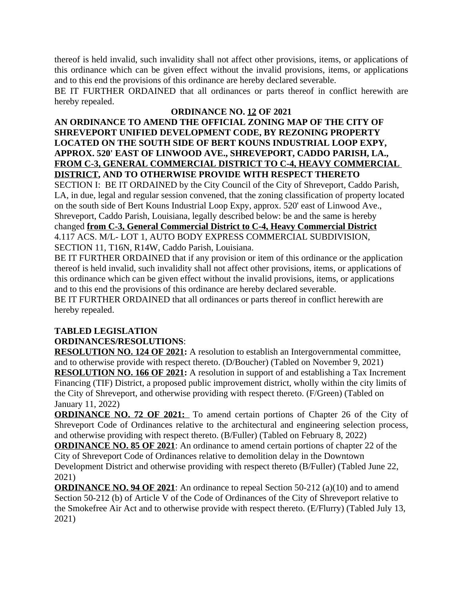thereof is held invalid, such invalidity shall not affect other provisions, items, or applications of this ordinance which can be given effect without the invalid provisions, items, or applications and to this end the provisions of this ordinance are hereby declared severable.

BE IT FURTHER ORDAINED that all ordinances or parts thereof in conflict herewith are hereby repealed.

### **ORDINANCE NO. 12 OF 2021**

### **AN ORDINANCE TO AMEND THE OFFICIAL ZONING MAP OF THE CITY OF SHREVEPORT UNIFIED DEVELOPMENT CODE, BY REZONING PROPERTY LOCATED ON THE SOUTH SIDE OF BERT KOUNS INDUSTRIAL LOOP EXPY, APPROX. 520' EAST OF LINWOOD AVE., SHREVEPORT, CADDO PARISH, LA., FROM C-3, GENERAL COMMERCIAL DISTRICT TO C-4, HEAVY COMMERCIAL DISTRICT, AND TO OTHERWISE PROVIDE WITH RESPECT THERETO**

SECTION I: BE IT ORDAINED by the City Council of the City of Shreveport, Caddo Parish, LA, in due, legal and regular session convened, that the zoning classification of property located on the south side of Bert Kouns Industrial Loop Expy, approx. 520' east of Linwood Ave., Shreveport, Caddo Parish, Louisiana, legally described below: be and the same is hereby changed **from C-3, General Commercial District to C-4, Heavy Commercial District** 4.117 ACS. M/L- LOT 1, AUTO BODY EXPRESS COMMERCIAL SUBDIVISION, SECTION 11, T16N, R14W, Caddo Parish, Louisiana.

BE IT FURTHER ORDAINED that if any provision or item of this ordinance or the application thereof is held invalid, such invalidity shall not affect other provisions, items, or applications of this ordinance which can be given effect without the invalid provisions, items, or applications and to this end the provisions of this ordinance are hereby declared severable.

BE IT FURTHER ORDAINED that all ordinances or parts thereof in conflict herewith are hereby repealed.

# **TABLED LEGISLATION**

# **ORDINANCES/RESOLUTIONS**:

**RESOLUTION NO. 124 OF 2021:** A resolution to establish an Intergovernmental committee, and to otherwise provide with respect thereto. (D/Boucher) (Tabled on November 9, 2021) **RESOLUTION NO. 166 OF 2021:** A resolution in support of and establishing a Tax Increment Financing (TIF) District, a proposed public improvement district, wholly within the city limits of the City of Shreveport, and otherwise providing with respect thereto. (F/Green) (Tabled on January 11, 2022)

**ORDINANCE NO. 72 OF 2021:** To amend certain portions of Chapter 26 of the City of Shreveport Code of Ordinances relative to the architectural and engineering selection process, and otherwise providing with respect thereto. (B/Fuller) (Tabled on February 8, 2022)

**ORDINANCE NO. 85 OF 2021**: An ordinance to amend certain portions of chapter 22 of the City of Shreveport Code of Ordinances relative to demolition delay in the Downtown Development District and otherwise providing with respect thereto (B/Fuller) (Tabled June 22, 2021)

**ORDINANCE NO. 94 OF 2021**: An ordinance to repeal Section 50-212 (a)(10) and to amend Section 50-212 (b) of Article V of the Code of Ordinances of the City of Shreveport relative to the Smokefree Air Act and to otherwise provide with respect thereto. (E/Flurry) (Tabled July 13, 2021)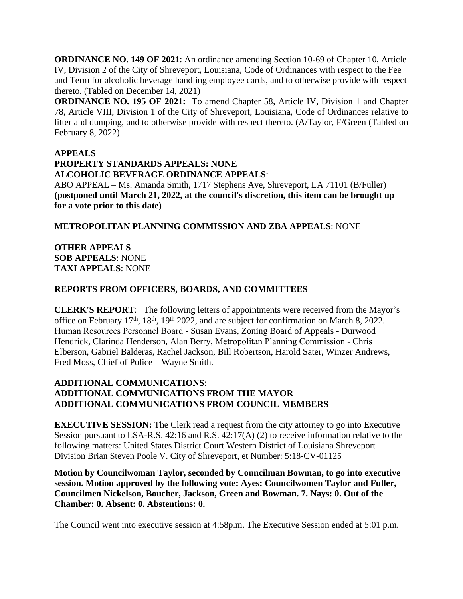**ORDINANCE NO. 149 OF 2021**: An ordinance amending Section 10-69 of Chapter 10, Article IV, Division 2 of the City of Shreveport, Louisiana, Code of Ordinances with respect to the Fee and Term for alcoholic beverage handling employee cards, and to otherwise provide with respect thereto. (Tabled on December 14, 2021)

**ORDINANCE NO. 195 OF 2021:** To amend Chapter 58, Article IV, Division 1 and Chapter 78, Article VIII, Division 1 of the City of Shreveport, Louisiana, Code of Ordinances relative to litter and dumping, and to otherwise provide with respect thereto. (A/Taylor, F/Green (Tabled on February 8, 2022)

### **APPEALS**

#### **PROPERTY STANDARDS APPEALS: NONE ALCOHOLIC BEVERAGE ORDINANCE APPEALS**:

ABO APPEAL – Ms. Amanda Smith, 1717 Stephens Ave, Shreveport, LA 71101 (B/Fuller) **(postponed until March 21, 2022, at the council's discretion, this item can be brought up for a vote prior to this date)**

# **METROPOLITAN PLANNING COMMISSION AND ZBA APPEALS**: NONE

### **OTHER APPEALS SOB APPEALS**: NONE **TAXI APPEALS**: NONE

### **REPORTS FROM OFFICERS, BOARDS, AND COMMITTEES**

**CLERK'S REPORT**: The following letters of appointments were received from the Mayor's office on February 17<sup>th</sup>, 18<sup>th</sup>, 19<sup>th</sup> 2022, and are subject for confirmation on March 8, 2022. Human Resources Personnel Board - Susan Evans, Zoning Board of Appeals - Durwood Hendrick, Clarinda Henderson, Alan Berry, Metropolitan Planning Commission - Chris Elberson, Gabriel Balderas, Rachel Jackson, Bill Robertson, Harold Sater, Winzer Andrews, Fred Moss, Chief of Police – Wayne Smith.

### **ADDITIONAL COMMUNICATIONS**: **ADDITIONAL COMMUNICATIONS FROM THE MAYOR ADDITIONAL COMMUNICATIONS FROM COUNCIL MEMBERS**

**EXECUTIVE SESSION:** The Clerk read a request from the city attorney to go into Executive Session pursuant to LSA-R.S. 42:16 and R.S. 42:17(A) (2) to receive information relative to the following matters: United States District Court Western District of Louisiana Shreveport Division Brian Steven Poole V. City of Shreveport, et Number: 5:18-CV-01125

**Motion by Councilwoman Taylor, seconded by Councilman Bowman, to go into executive session. Motion approved by the following vote: Ayes: Councilwomen Taylor and Fuller, Councilmen Nickelson, Boucher, Jackson, Green and Bowman. 7. Nays: 0. Out of the Chamber: 0. Absent: 0. Abstentions: 0.**

The Council went into executive session at 4:58p.m. The Executive Session ended at 5:01 p.m.